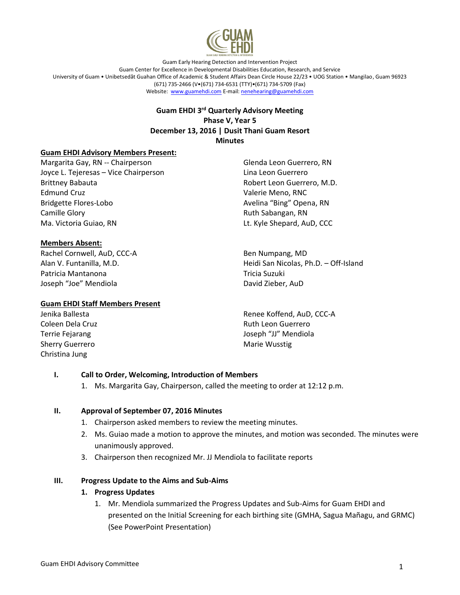

Guam Early Hearing Detection and Intervention Project Guam Center for Excellence in Developmental Disabilities Education, Research, and Service University of Guam • Unibetsedåt Guahan Office of Academic & Student Affairs Dean Circle House 22/23 • UOG Station • Mangilao, Guam 96923 (671) 735-2466 (V•(671) 734-6531 (TTY)•(671) 734-5709 (Fax) Website: www.guamehdi.com E-mail: nenehearing@guamehdi.com

## **Guam EHDI 3 rd Quarterly Advisory Meeting Phase V, Year 5 December 13, 2016 | Dusit Thani Guam Resort Minutes**

### **Guam EHDI Advisory Members Present:**

Margarita Gay, RN -- Chairperson Joyce L. Tejeresas – Vice Chairperson Brittney Babauta Edmund Cruz Bridgette Flores-Lobo Camille Glory Ma. Victoria Guiao, RN

#### **Members Absent:**

Rachel Cornwell, AuD, CCC-A Alan V. Funtanilla, M.D. Patricia Mantanona Joseph "Joe" Mendiola

### **Guam EHDI Staff Members Present**

Jenika Ballesta Coleen Dela Cruz Terrie Fejarang Sherry Guerrero Christina Jung

Glenda Leon Guerrero, RN Lina Leon Guerrero Robert Leon Guerrero, M.D. Valerie Meno, RNC Avelina "Bing" Opena, RN Ruth Sabangan, RN Lt. Kyle Shepard, AuD, CCC

Ben Numpang, MD Heidi San Nicolas, Ph.D. – Off-Island Tricia Suzuki David Zieber, AuD

Renee Koffend, AuD, CCC-A Ruth Leon Guerrero Joseph "JJ" Mendiola Marie Wusstig

### **I. Call to Order, Welcoming, Introduction of Members**

1. Ms. Margarita Gay, Chairperson, called the meeting to order at 12:12 p.m.

### **II. Approval of September 07, 2016 Minutes**

- 1. Chairperson asked members to review the meeting minutes.
- 2. Ms. Guiao made a motion to approve the minutes, and motion was seconded. The minutes were unanimously approved.
- 3. Chairperson then recognized Mr. JJ Mendiola to facilitate reports

### **III. Progress Update to the Aims and Sub-Aims**

### **1. Progress Updates**

1. Mr. Mendiola summarized the Progress Updates and Sub-Aims for Guam EHDI and presented on the Initial Screening for each birthing site (GMHA, Sagua Mañagu, and GRMC) (See PowerPoint Presentation)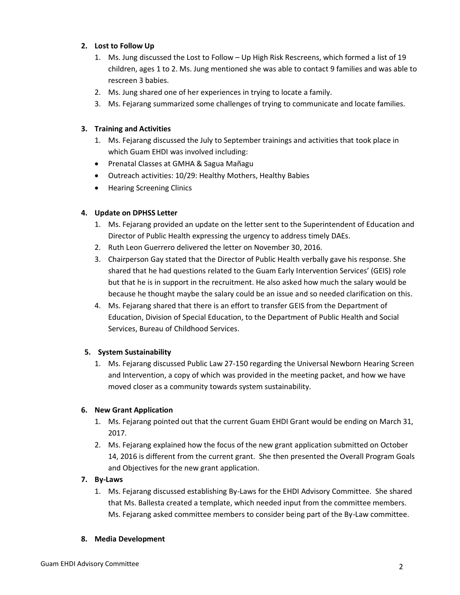# **2. Lost to Follow Up**

- 1. Ms. Jung discussed the Lost to Follow Up High Risk Rescreens, which formed a list of 19 children, ages 1 to 2. Ms. Jung mentioned she was able to contact 9 families and was able to rescreen 3 babies.
- 2. Ms. Jung shared one of her experiences in trying to locate a family.
- 3. Ms. Fejarang summarized some challenges of trying to communicate and locate families.

# **3. Training and Activities**

- 1. Ms. Fejarang discussed the July to September trainings and activities that took place in which Guam EHDI was involved including:
- Prenatal Classes at GMHA & Sagua Mañagu
- Outreach activities: 10/29: Healthy Mothers, Healthy Babies
- Hearing Screening Clinics

## **4. Update on DPHSS Letter**

- 1. Ms. Fejarang provided an update on the letter sent to the Superintendent of Education and Director of Public Health expressing the urgency to address timely DAEs.
- 2. Ruth Leon Guerrero delivered the letter on November 30, 2016.
- 3. Chairperson Gay stated that the Director of Public Health verbally gave his response. She shared that he had questions related to the Guam Early Intervention Services' (GEIS) role but that he is in support in the recruitment. He also asked how much the salary would be because he thought maybe the salary could be an issue and so needed clarification on this.
- 4. Ms. Fejarang shared that there is an effort to transfer GEIS from the Department of Education, Division of Special Education, to the Department of Public Health and Social Services, Bureau of Childhood Services.

## **5. System Sustainability**

1. Ms. Fejarang discussed Public Law 27-150 regarding the Universal Newborn Hearing Screen and Intervention, a copy of which was provided in the meeting packet, and how we have moved closer as a community towards system sustainability.

## **6. New Grant Application**

- 1. Ms. Fejarang pointed out that the current Guam EHDI Grant would be ending on March 31, 2017.
- 2. Ms. Fejarang explained how the focus of the new grant application submitted on October 14, 2016 is different from the current grant. She then presented the Overall Program Goals and Objectives for the new grant application.

## **7. By-Laws**

1. Ms. Fejarang discussed establishing By-Laws for the EHDI Advisory Committee. She shared that Ms. Ballesta created a template, which needed input from the committee members. Ms. Fejarang asked committee members to consider being part of the By-Law committee.

### **8. Media Development**